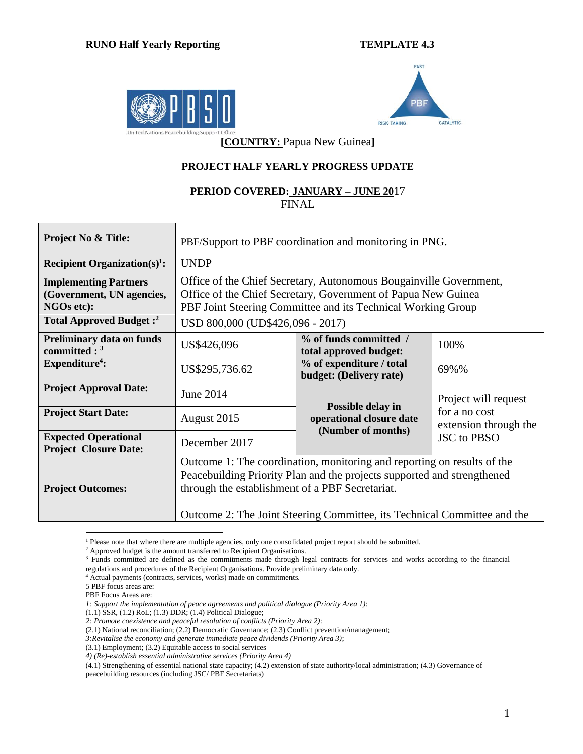



**[COUNTRY:** Papua New Guinea**]**

## **PROJECT HALF YEARLY PROGRESS UPDATE**

## **PERIOD COVERED: JANUARY – JUNE 20**17 FINAL

| <b>Project No &amp; Title:</b>                                                 | PBF/Support to PBF coordination and monitoring in PNG.                                                                                                                                                                                                                            |                                                                                         |  |  |  |  |  |
|--------------------------------------------------------------------------------|-----------------------------------------------------------------------------------------------------------------------------------------------------------------------------------------------------------------------------------------------------------------------------------|-----------------------------------------------------------------------------------------|--|--|--|--|--|
| Recipient Organization(s) <sup>1</sup> :                                       | <b>UNDP</b>                                                                                                                                                                                                                                                                       |                                                                                         |  |  |  |  |  |
| <b>Implementing Partners</b><br>(Government, UN agencies,<br><b>NGOs etc):</b> | Office of the Chief Secretary, Autonomous Bougainville Government,<br>Office of the Chief Secretary, Government of Papua New Guinea<br>PBF Joint Steering Committee and its Technical Working Group                                                                               |                                                                                         |  |  |  |  |  |
| Total Approved Budget: <sup>2</sup>                                            | USD 800,000 (UD\$426,096 - 2017)                                                                                                                                                                                                                                                  |                                                                                         |  |  |  |  |  |
| <b>Preliminary data on funds</b><br>committed : $3$                            | US\$426,096                                                                                                                                                                                                                                                                       | % of funds committed /<br>100%<br>total approved budget:                                |  |  |  |  |  |
| $Expenditure4$ :                                                               | US\$295,736.62                                                                                                                                                                                                                                                                    | % of expenditure / total<br>69%%<br>budget: (Delivery rate)                             |  |  |  |  |  |
| <b>Project Approval Date:</b>                                                  | June 2014                                                                                                                                                                                                                                                                         | Project will request                                                                    |  |  |  |  |  |
| <b>Project Start Date:</b>                                                     | August 2015                                                                                                                                                                                                                                                                       | Possible delay in<br>for a no cost<br>operational closure date<br>extension through the |  |  |  |  |  |
| <b>Expected Operational</b><br><b>Project Closure Date:</b>                    | December 2017                                                                                                                                                                                                                                                                     | (Number of months)<br><b>JSC</b> to PBSO                                                |  |  |  |  |  |
| <b>Project Outcomes:</b>                                                       | Outcome 1: The coordination, monitoring and reporting on results of the<br>Peacebuilding Priority Plan and the projects supported and strengthened<br>through the establishment of a PBF Secretariat.<br>Outcome 2: The Joint Steering Committee, its Technical Committee and the |                                                                                         |  |  |  |  |  |

 $\overline{a}$ <sup>1</sup> Please note that where there are multiple agencies, only one consolidated project report should be submitted.

<sup>&</sup>lt;sup>2</sup> Approved budget is the amount transferred to Recipient Organisations.

<sup>&</sup>lt;sup>3</sup> Funds committed are defined as the commitments made through legal contracts for services and works according to the financial regulations and procedures of the Recipient Organisations. Provide preliminary data only.

<sup>4</sup> Actual payments (contracts, services, works) made on commitments.

<sup>5</sup> PBF focus areas are:

PBF Focus Areas are:

*<sup>1:</sup> Support the implementation of peace agreements and political dialogue (Priority Area 1)*:

<sup>(1.1)</sup> SSR, (1.2) RoL; (1.3) DDR; (1.4) Political Dialogue;

*<sup>2:</sup> Promote coexistence and peaceful resolution of conflicts (Priority Area 2)*:

<sup>(2.1)</sup> National reconciliation; (2.2) Democratic Governance; (2.3) Conflict prevention/management;

*<sup>3:</sup>Revitalise the economy and generate immediate peace dividends (Priority Area 3)*;

<sup>(3.1)</sup> Employment; (3.2) Equitable access to social services

*<sup>4)</sup> (Re)-establish essential administrative services (Priority Area 4)*

<sup>(4.1)</sup> Strengthening of essential national state capacity; (4.2) extension of state authority/local administration; (4.3) Governance of peacebuilding resources (including JSC/ PBF Secretariats)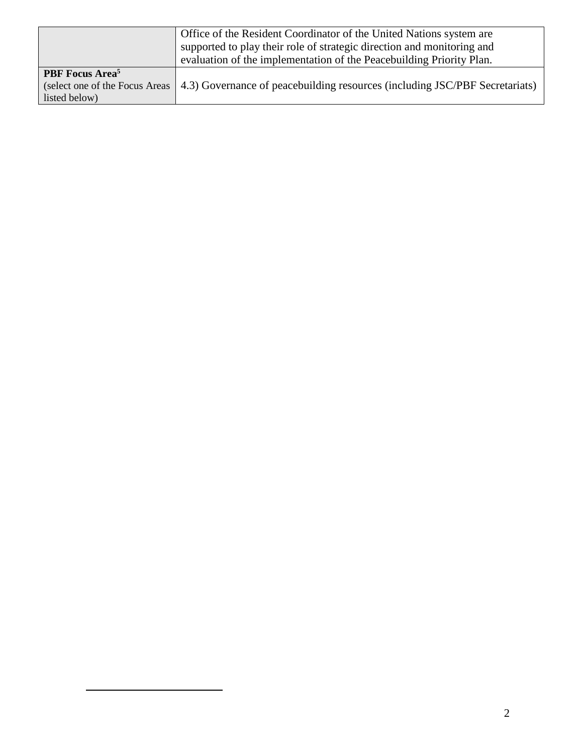|                                    | Office of the Resident Coordinator of the United Nations system are         |
|------------------------------------|-----------------------------------------------------------------------------|
|                                    | supported to play their role of strategic direction and monitoring and      |
|                                    | evaluation of the implementation of the Peacebuilding Priority Plan.        |
| <b>PBF</b> Focus Area <sup>5</sup> |                                                                             |
| (select one of the Focus Areas)    | 4.3) Governance of peacebuilding resources (including JSC/PBF Secretariats) |
| listed below)                      |                                                                             |

 $\overline{a}$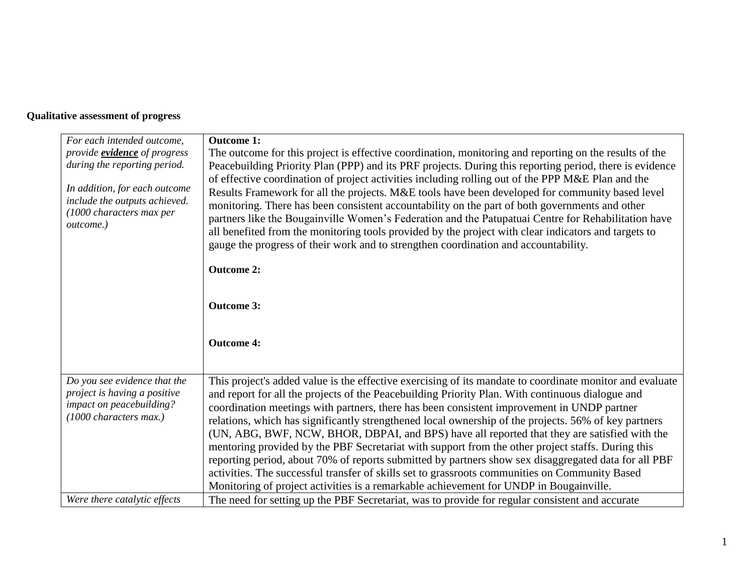## **Qualitative assessment of progress**

| For each intended outcome,                                                                                         | <b>Outcome 1:</b>                                                                                                                                                                                                                                                                                                                                                                                                                                                                                                                                                                                                                                                                                                                                                                                                                                                                                                           |
|--------------------------------------------------------------------------------------------------------------------|-----------------------------------------------------------------------------------------------------------------------------------------------------------------------------------------------------------------------------------------------------------------------------------------------------------------------------------------------------------------------------------------------------------------------------------------------------------------------------------------------------------------------------------------------------------------------------------------------------------------------------------------------------------------------------------------------------------------------------------------------------------------------------------------------------------------------------------------------------------------------------------------------------------------------------|
| provide <b>evidence</b> of progress                                                                                | The outcome for this project is effective coordination, monitoring and reporting on the results of the                                                                                                                                                                                                                                                                                                                                                                                                                                                                                                                                                                                                                                                                                                                                                                                                                      |
| during the reporting period.                                                                                       | Peacebuilding Priority Plan (PPP) and its PRF projects. During this reporting period, there is evidence                                                                                                                                                                                                                                                                                                                                                                                                                                                                                                                                                                                                                                                                                                                                                                                                                     |
| In addition, for each outcome<br>include the outputs achieved.<br>(1000 characters max per<br>outcome.)            | of effective coordination of project activities including rolling out of the PPP M&E Plan and the<br>Results Framework for all the projects. M&E tools have been developed for community based level<br>monitoring. There has been consistent accountability on the part of both governments and other<br>partners like the Bougainville Women's Federation and the Patupatuai Centre for Rehabilitation have<br>all benefited from the monitoring tools provided by the project with clear indicators and targets to<br>gauge the progress of their work and to strengthen coordination and accountability.<br><b>Outcome 2:</b>                                                                                                                                                                                                                                                                                           |
|                                                                                                                    | <b>Outcome 3:</b>                                                                                                                                                                                                                                                                                                                                                                                                                                                                                                                                                                                                                                                                                                                                                                                                                                                                                                           |
|                                                                                                                    | <b>Outcome 4:</b>                                                                                                                                                                                                                                                                                                                                                                                                                                                                                                                                                                                                                                                                                                                                                                                                                                                                                                           |
| Do you see evidence that the<br>project is having a positive<br>impact on peacebuilding?<br>(1000 characters max.) | This project's added value is the effective exercising of its mandate to coordinate monitor and evaluate<br>and report for all the projects of the Peacebuilding Priority Plan. With continuous dialogue and<br>coordination meetings with partners, there has been consistent improvement in UNDP partner<br>relations, which has significantly strengthened local ownership of the projects. 56% of key partners<br>(UN, ABG, BWF, NCW, BHOR, DBPAI, and BPS) have all reported that they are satisfied with the<br>mentoring provided by the PBF Secretariat with support from the other project staffs. During this<br>reporting period, about 70% of reports submitted by partners show sex disaggregated data for all PBF<br>activities. The successful transfer of skills set to grassroots communities on Community Based<br>Monitoring of project activities is a remarkable achievement for UNDP in Bougainville. |
| Were there catalytic effects                                                                                       | The need for setting up the PBF Secretariat, was to provide for regular consistent and accurate                                                                                                                                                                                                                                                                                                                                                                                                                                                                                                                                                                                                                                                                                                                                                                                                                             |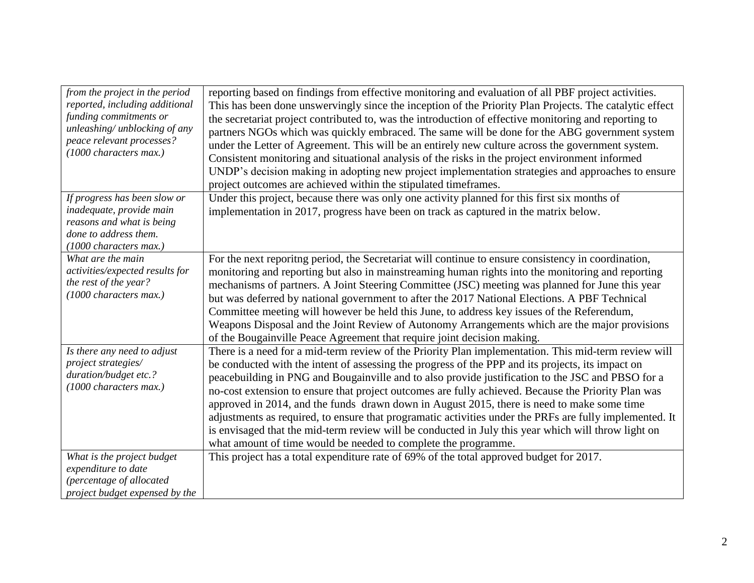| from the project in the period<br>reported, including additional<br>funding commitments or<br>unleashing/ unblocking of any<br>peace relevant processes?<br>(1000 characters max.) | reporting based on findings from effective monitoring and evaluation of all PBF project activities.<br>This has been done unswervingly since the inception of the Priority Plan Projects. The catalytic effect<br>the secretariat project contributed to, was the introduction of effective monitoring and reporting to<br>partners NGOs which was quickly embraced. The same will be done for the ABG government system<br>under the Letter of Agreement. This will be an entirely new culture across the government system.<br>Consistent monitoring and situational analysis of the risks in the project environment informed<br>UNDP's decision making in adopting new project implementation strategies and approaches to ensure<br>project outcomes are achieved within the stipulated timeframes. |
|------------------------------------------------------------------------------------------------------------------------------------------------------------------------------------|----------------------------------------------------------------------------------------------------------------------------------------------------------------------------------------------------------------------------------------------------------------------------------------------------------------------------------------------------------------------------------------------------------------------------------------------------------------------------------------------------------------------------------------------------------------------------------------------------------------------------------------------------------------------------------------------------------------------------------------------------------------------------------------------------------|
| If progress has been slow or<br>inadequate, provide main<br>reasons and what is being<br>done to address them.<br>(1000 characters max.)                                           | Under this project, because there was only one activity planned for this first six months of<br>implementation in 2017, progress have been on track as captured in the matrix below.                                                                                                                                                                                                                                                                                                                                                                                                                                                                                                                                                                                                                     |
| What are the main<br>activities/expected results for<br>the rest of the year?<br>(1000 characters max.)                                                                            | For the next reporitng period, the Secretariat will continue to ensure consistency in coordination,<br>monitoring and reporting but also in mainstreaming human rights into the monitoring and reporting<br>mechanisms of partners. A Joint Steering Committee (JSC) meeting was planned for June this year<br>but was deferred by national government to after the 2017 National Elections. A PBF Technical<br>Committee meeting will however be held this June, to address key issues of the Referendum,<br>Weapons Disposal and the Joint Review of Autonomy Arrangements which are the major provisions<br>of the Bougainville Peace Agreement that require joint decision making.                                                                                                                   |
| Is there any need to adjust<br>project strategies/<br>duration/budget etc.?<br>(1000 characters max.)                                                                              | There is a need for a mid-term review of the Priority Plan implementation. This mid-term review will<br>be conducted with the intent of assessing the progress of the PPP and its projects, its impact on<br>peacebuilding in PNG and Bougainville and to also provide justification to the JSC and PBSO for a<br>no-cost extension to ensure that project outcomes are fully achieved. Because the Priority Plan was<br>approved in 2014, and the funds drawn down in August 2015, there is need to make some time<br>adjustments as required, to ensure that programatic activities under the PRFs are fully implemented. It<br>is envisaged that the mid-term review will be conducted in July this year which will throw light on<br>what amount of time would be needed to complete the programme.  |
| What is the project budget<br>expenditure to date<br>(percentage of allocated<br>project budget expensed by the                                                                    | This project has a total expenditure rate of 69% of the total approved budget for 2017.                                                                                                                                                                                                                                                                                                                                                                                                                                                                                                                                                                                                                                                                                                                  |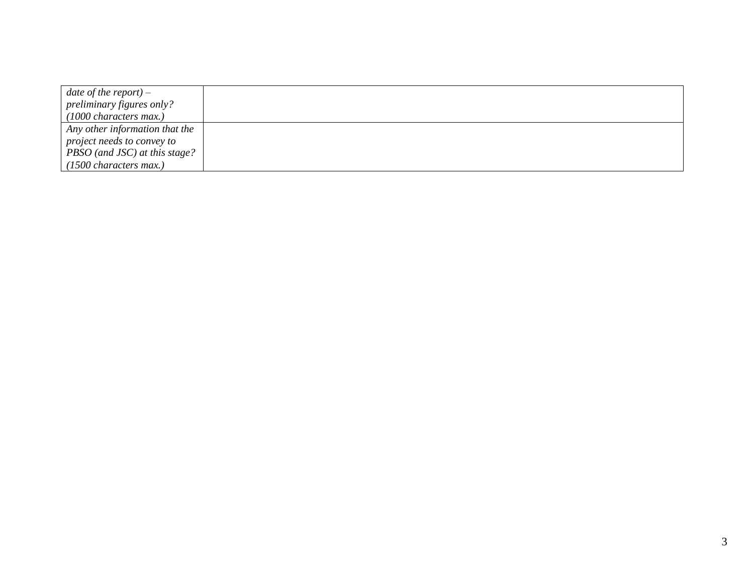| date of the report) $-$        |  |
|--------------------------------|--|
| preliminary figures only?      |  |
| $(1000$ characters max.)       |  |
| Any other information that the |  |
| project needs to convey to     |  |
| PBSO (and JSC) at this stage?  |  |
| $(1500$ characters max.)       |  |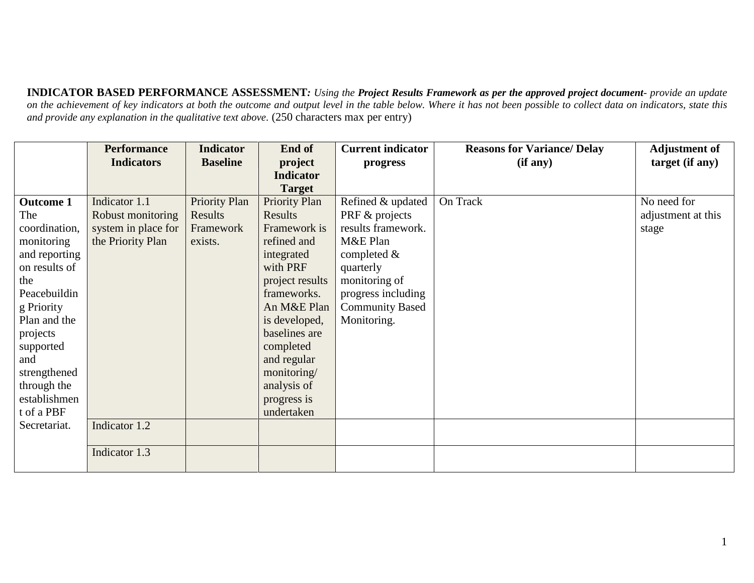**INDICATOR BASED PERFORMANCE ASSESSMENT***: Using the Project Results Framework as per the approved project document- provide an update*  on the achievement of key indicators at both the outcome and output level in the table below. Where it has not been possible to collect data on indicators, state this *and provide any explanation in the qualitative text above.* (250 characters max per entry)

|                  | <b>Performance</b>  | <b>Indicator</b> | End of               | <b>Current indicator</b> | <b>Reasons for Variance/Delay</b> | <b>Adjustment of</b> |
|------------------|---------------------|------------------|----------------------|--------------------------|-----------------------------------|----------------------|
|                  | <b>Indicators</b>   | <b>Baseline</b>  | project              | progress                 | (if any)                          | target (if any)      |
|                  |                     |                  | <b>Indicator</b>     |                          |                                   |                      |
|                  |                     |                  | <b>Target</b>        |                          |                                   |                      |
| <b>Outcome 1</b> | Indicator 1.1       | Priority Plan    | <b>Priority Plan</b> | Refined & updated        | On Track                          | No need for          |
| The              | Robust monitoring   | Results          | Results              | PRF & projects           |                                   | adjustment at this   |
| coordination,    | system in place for | Framework        | Framework is         | results framework.       |                                   | stage                |
| monitoring       | the Priority Plan   | exists.          | refined and          | M&E Plan                 |                                   |                      |
| and reporting    |                     |                  | integrated           | completed $\&$           |                                   |                      |
| on results of    |                     |                  | with PRF             | quarterly                |                                   |                      |
| the              |                     |                  | project results      | monitoring of            |                                   |                      |
| Peacebuildin     |                     |                  | frameworks.          | progress including       |                                   |                      |
| g Priority       |                     |                  | An M&E Plan          | <b>Community Based</b>   |                                   |                      |
| Plan and the     |                     |                  | is developed,        | Monitoring.              |                                   |                      |
| projects         |                     |                  | baselines are        |                          |                                   |                      |
| supported        |                     |                  | completed            |                          |                                   |                      |
| and              |                     |                  | and regular          |                          |                                   |                      |
| strengthened     |                     |                  | monitoring/          |                          |                                   |                      |
| through the      |                     |                  | analysis of          |                          |                                   |                      |
| establishmen     |                     |                  | progress is          |                          |                                   |                      |
| t of a PBF       |                     |                  | undertaken           |                          |                                   |                      |
| Secretariat.     | Indicator 1.2       |                  |                      |                          |                                   |                      |
|                  |                     |                  |                      |                          |                                   |                      |
|                  | Indicator 1.3       |                  |                      |                          |                                   |                      |
|                  |                     |                  |                      |                          |                                   |                      |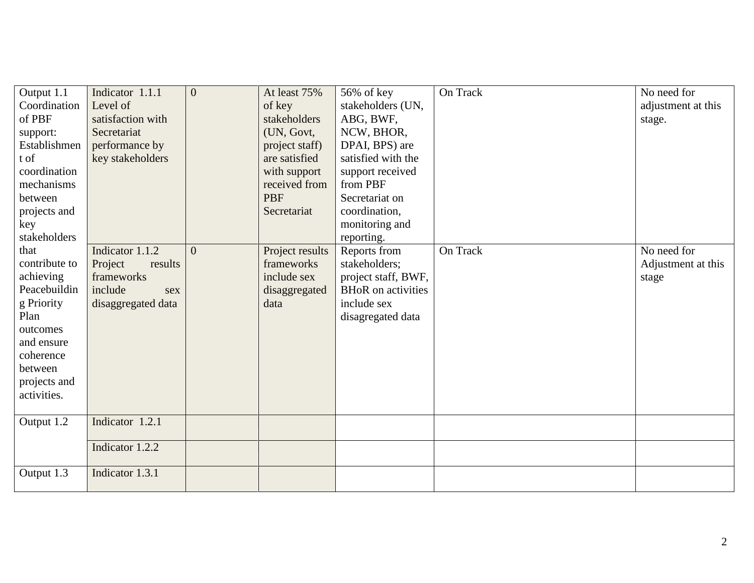| Output 1.1    | Indicator 1.1.1    | $\overline{0}$ | At least 75%    | 56% of key                | On Track | No need for        |
|---------------|--------------------|----------------|-----------------|---------------------------|----------|--------------------|
| Coordination  | Level of           |                | of key          | stakeholders (UN,         |          | adjustment at this |
| of PBF        | satisfaction with  |                | stakeholders    | ABG, BWF,                 |          | stage.             |
| support:      | Secretariat        |                | (UN, Govt,      | NCW, BHOR,                |          |                    |
| Establishmen  | performance by     |                | project staff)  | DPAI, BPS) are            |          |                    |
| t of          | key stakeholders   |                | are satisfied   | satisfied with the        |          |                    |
| coordination  |                    |                | with support    | support received          |          |                    |
| mechanisms    |                    |                | received from   | from PBF                  |          |                    |
| between       |                    |                | <b>PBF</b>      | Secretariat on            |          |                    |
| projects and  |                    |                | Secretariat     | coordination,             |          |                    |
| key           |                    |                |                 | monitoring and            |          |                    |
| stakeholders  |                    |                |                 | reporting.                |          |                    |
| that          | Indicator 1.1.2    | $\Omega$       | Project results | Reports from              | On Track | No need for        |
| contribute to | Project<br>results |                | frameworks      | stakeholders;             |          | Adjustment at this |
| achieving     | frameworks         |                | include sex     | project staff, BWF,       |          | stage              |
| Peacebuildin  | include<br>sex     |                | disaggregated   | <b>BHoR</b> on activities |          |                    |
| g Priority    | disaggregated data |                | data            | include sex               |          |                    |
| Plan          |                    |                |                 | disagregated data         |          |                    |
| outcomes      |                    |                |                 |                           |          |                    |
| and ensure    |                    |                |                 |                           |          |                    |
| coherence     |                    |                |                 |                           |          |                    |
| between       |                    |                |                 |                           |          |                    |
| projects and  |                    |                |                 |                           |          |                    |
| activities.   |                    |                |                 |                           |          |                    |
|               |                    |                |                 |                           |          |                    |
| Output 1.2    | Indicator 1.2.1    |                |                 |                           |          |                    |
|               |                    |                |                 |                           |          |                    |
|               | Indicator 1.2.2    |                |                 |                           |          |                    |
|               |                    |                |                 |                           |          |                    |
| Output 1.3    | Indicator 1.3.1    |                |                 |                           |          |                    |
|               |                    |                |                 |                           |          |                    |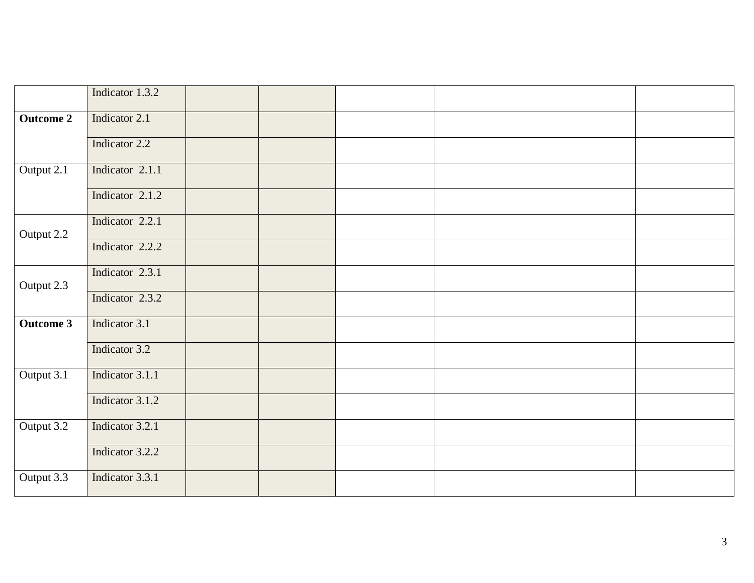|                  | Indicator 1.3.2 |  |  |  |
|------------------|-----------------|--|--|--|
| <b>Outcome 2</b> | Indicator 2.1   |  |  |  |
|                  | Indicator 2.2   |  |  |  |
| Output 2.1       | Indicator 2.1.1 |  |  |  |
|                  | Indicator 2.1.2 |  |  |  |
| Output 2.2       | Indicator 2.2.1 |  |  |  |
|                  | Indicator 2.2.2 |  |  |  |
| Output 2.3       | Indicator 2.3.1 |  |  |  |
|                  | Indicator 2.3.2 |  |  |  |
| Outcome 3        | Indicator 3.1   |  |  |  |
|                  | Indicator 3.2   |  |  |  |
| Output 3.1       | Indicator 3.1.1 |  |  |  |
|                  | Indicator 3.1.2 |  |  |  |
| Output 3.2       | Indicator 3.2.1 |  |  |  |
|                  | Indicator 3.2.2 |  |  |  |
| Output 3.3       | Indicator 3.3.1 |  |  |  |